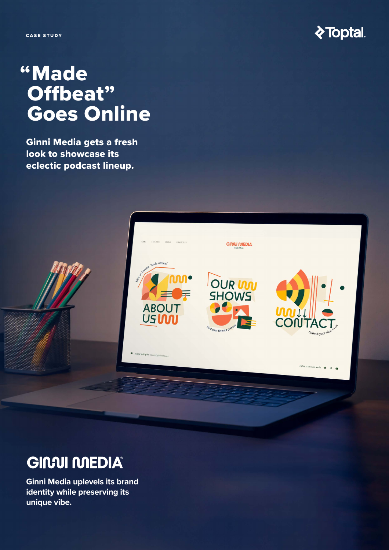CASE STUDY



# "Made Offbeat" Goes Online

Ginni Media gets a fresh look to showcase its eclectic podcast lineup.



# **GIMUI MEDIA®**

**Ginni Media uplevels its brand identity while preserving its unique vibe.**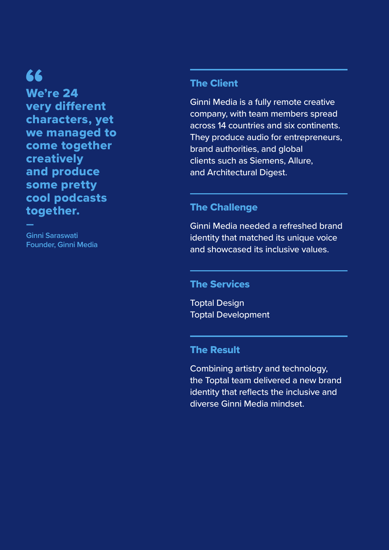# 66

—

We're 24 very different characters, yet we managed to come together creatively and produce some pretty cool podcasts together.

**Ginni Saraswati Founder, Ginni Media**

#### The Client

Ginni Media is a fully remote creative company, with team members spread across 14 countries and six continents. They produce audio for entrepreneurs, brand authorities, and global clients such as Siemens, Allure, and Architectural Digest.

#### The Challenge

Ginni Media needed a refreshed brand identity that matched its unique voice and showcased its inclusive values.

#### The Services

Toptal Design Toptal Development

#### The Result

Combining artistry and technology, the Toptal team delivered a new brand identity that reflects the inclusive and diverse Ginni Media mindset.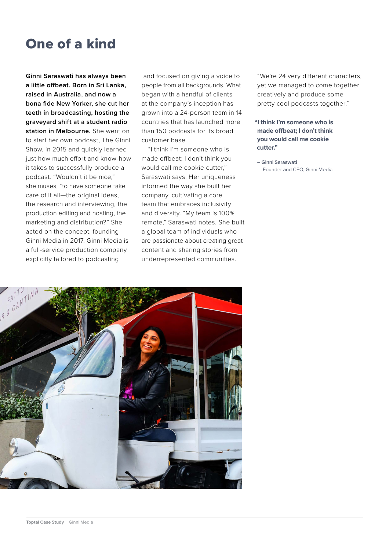## One of a kind

**Ginni Saraswati has always been a little offbeat. Born in Sri Lanka, raised in Australia, and now a bona fide New Yorker, she cut her teeth in broadcasting, hosting the graveyard shift at a student radio station in Melbourne.** She went on to start her own podcast, The Ginni Show, in 2015 and quickly learned just how much effort and know-how it takes to successfully produce a podcast. "Wouldn't it be nice," she muses, "to have someone take care of it all—the original ideas, the research and interviewing, the production editing and hosting, the marketing and distribution?" She acted on the concept, founding Ginni Media in 2017. Ginni Media is a full-service production company explicitly tailored to podcasting

 and focused on giving a voice to people from all backgrounds. What began with a handful of clients at the company's inception has grown into a 24-person team in 14 countries that has launched more than 150 podcasts for its broad customer base.

"I think I'm someone who is made offbeat; I don't think you would call me cookie cutter," Saraswati says. Her uniqueness informed the way she built her company, cultivating a core team that embraces inclusivity and diversity. "My team is 100% remote," Saraswati notes. She built a global team of individuals who are passionate about creating great content and sharing stories from underrepresented communities.

"We're 24 very different characters, yet we managed to come together creatively and produce some pretty cool podcasts together."

**"I think I'm someone who is made offbeat; I don't think you would call me cookie cutter."** 

 **– Ginni Saraswati** Founder and CEO, Ginni Media

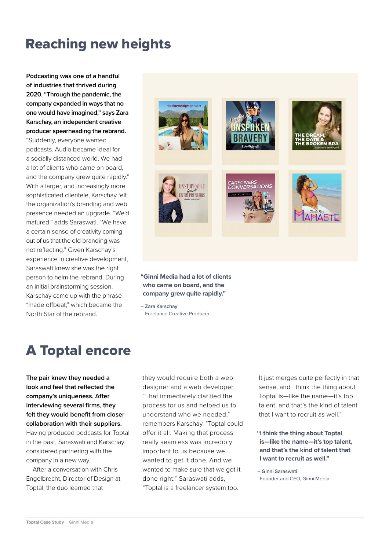### Reaching new heights

**Podcasting was one of a handful of industries that thrived during 2020. "Through the pandemic, the company expanded in ways that no one would have imagined," says Zara Karschay, an independent creative producer spearheading the rebrand.** 

"Suddenly, everyone wanted podcasts. Audio became ideal for a socially distanced world. We had a lot of clients who came on board, and the company grew quite rapidly." With a larger, and increasingly more sophisticated clientele, Karschay felt the organization's branding and web presence needed an upgrade. "We'd matured," adds Saraswati. "We have a certain sense of creativity coming out of us that the old branding was not reflecting." Given Karschay's experience in creative development, Saraswati knew she was the right person to helm the rebrand. During an initial brainstorming session, Karschay came up with the phrase "made offbeat," which became the North Star of the rebrand.



**"Ginni Media had a lot of clients who came on board, and the company grew quite rapidly."**

**– Zara Karschay** Freelance Creative Producer

## A Toptal encore

**The pair knew they needed a look and feel that reflected the company's uniqueness. After interviewing several firms, they felt they would benefit from closer collaboration with their suppliers.**  Having produced podcasts for Toptal

in the past, Saraswati and Karschay considered partnering with the company in a new way.

After a conversation with Chris Engelbrecht, Director of Design at Toptal, the duo learned that

they would require both a web designer and a web developer. "That immediately clarified the process for us and helped us to understand who we needed," remembers Karschay. "Toptal could offer it all. Making that process really seamless was incredibly important to us because we wanted to get it done. And we wanted to make sure that we got it done right." Saraswati adds, "Toptal is a freelancer system too.

It just merges quite perfectly in that sense, and I think the thing about Toptal is—like the name—it's top talent, and that's the kind of talent that I want to recruit as well."

**"I think the thing about Toptal is—like the name—it's top talent, and that's the kind of talent that I want to recruit as well."**

**– Ginni Saraswati** Founder and CEO, Ginni Media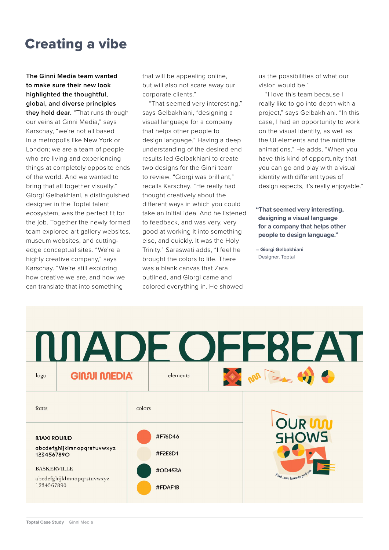## Creating a vibe

**The Ginni Media team wanted to make sure their new look highlighted the thoughtful, global, and diverse principles they hold dear.** "That runs through our veins at Ginni Media," says Karschay, "we're not all based in a metropolis like New York or London; we are a team of people who are living and experiencing things at completely opposite ends of the world. And we wanted to bring that all together visually." Giorgi Gelbakhiani, a distinguished designer in the Toptal talent ecosystem, was the perfect fit for the job. Together the newly formed team explored art gallery websites, museum websites, and cuttingedge conceptual sites. "We're a highly creative company," says Karschay. "We're still exploring how creative we are, and how we can translate that into something

that will be appealing online, but will also not scare away our corporate clients."

"That seemed very interesting," says Gelbakhiani, "designing a visual language for a company that helps other people to design language." Having a deep understanding of the desired end results led Gelbakhiani to create two designs for the Ginni team to review. "Giorgi was brilliant." recalls Karschay. "He really had thought creatively about the different ways in which you could take an initial idea. And he listened to feedback, and was very, very good at working it into something else, and quickly. It was the Holy Trinity." Saraswati adds, "I feel he brought the colors to life. There was a blank canvas that Zara outlined, and Giorgi came and colored everything in. He showed

us the possibilities of what our vision would be."

"I love this team because I really like to go into depth with a project," says Gelbakhiani. "In this case, I had an opportunity to work on the visual identity, as well as the UI elements and the midtime animations." He adds, "When you have this kind of opportunity that you can go and play with a visual identity with different types of design aspects, it's really enjoyable."

**"That seemed very interesting, designing a visual language for a company that helps other people to design language."**

**– Giorgi Gelbakhiani** Designer, Toptal

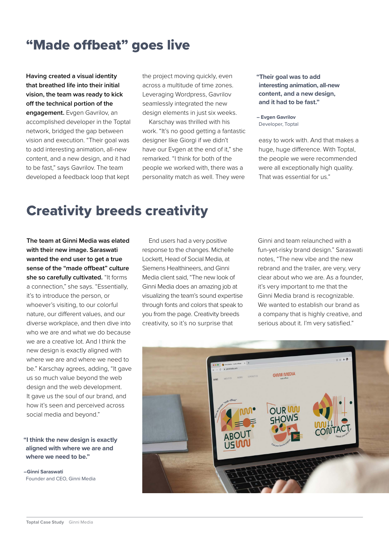#### "Made offbeat" goes live

**Having created a visual identity that breathed life into their initial vision, the team was ready to kick off the technical portion of the engagement.** Evgen Gavrilov, an accomplished developer in the Toptal network, bridged the gap between vision and execution. "Their goal was to add interesting animation, all-new content, and a new design, and it had to be fast," says Gavrilov. The team developed a feedback loop that kept

the project moving quickly, even across a multitude of time zones. Leveraging Wordpress, Gavrilov seamlessly integrated the new design elements in just six weeks.

Karschay was thrilled with his work. "It's no good getting a fantastic designer like Giorgi if we didn't have our Evgen at the end of it," she remarked. "I think for both of the people we worked with, there was a personality match as well. They were

**"Their goal was to add interesting animation, all-new content, and a new design, and it had to be fast."**

**– Evgen Gavrilov** Developer, Toptal

easy to work with. And that makes a huge, huge difference. With Toptal, the people we were recommended were all exceptionally high quality. That was essential for us."

#### Creativity breeds creativity

**The team at Ginni Media was elated with their new image. Saraswati wanted the end user to get a true sense of the "made offbeat" culture she so carefully cultivated.** "It forms a connection," she says. "Essentially, it's to introduce the person, or whoever's visiting, to our colorful nature, our different values, and our diverse workplace, and then dive into who we are and what we do because we are a creative lot. And I think the new design is exactly aligned with where we are and where we need to be." Karschay agrees, adding, "It gave us so much value beyond the web design and the web development. It gave us the soul of our brand, and how it's seen and perceived across social media and beyond."

#### **"I think the new design is exactly aligned with where we are and where we need to be."**

**–Ginni Saraswati** Founder and CEO, Ginni Media

End users had a very positive response to the changes. Michelle Lockett, Head of Social Media, at Siemens Healthineers, and Ginni Media client said, "The new look of Ginni Media does an amazing job at visualizing the team's sound expertise through fonts and colors that speak to you from the page. Creativity breeds creativity, so it's no surprise that

Ginni and team relaunched with a fun-yet-risky brand design." Saraswati notes, "The new vibe and the new rebrand and the trailer, are very, very clear about who we are. As a founder, it's very important to me that the Ginni Media brand is recognizable. We wanted to establish our brand as a company that is highly creative, and serious about it. I'm very satisfied."